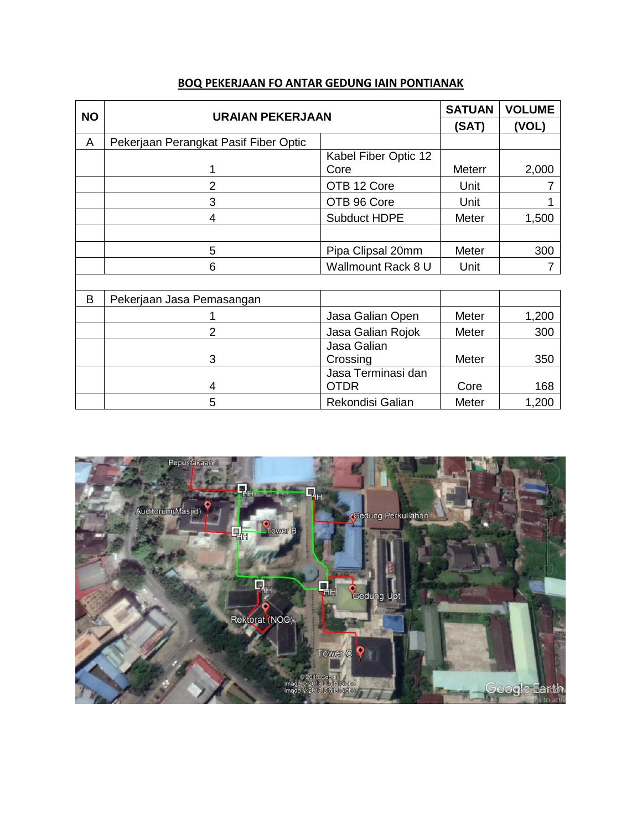| <b>NO</b> | <b>URAIAN PEKERJAAN</b>               |                                   | <b>SATUAN</b> | <b>VOLUME</b> |
|-----------|---------------------------------------|-----------------------------------|---------------|---------------|
|           |                                       |                                   | (SAT)         | (VOL)         |
| A         | Pekerjaan Perangkat Pasif Fiber Optic |                                   |               |               |
|           |                                       | Kabel Fiber Optic 12              |               |               |
|           | 1                                     | Core                              | <b>Meterr</b> | 2,000         |
|           | 2                                     | OTB 12 Core                       | Unit          |               |
|           | 3                                     | OTB 96 Core                       | Unit          |               |
|           | 4                                     | <b>Subduct HDPE</b>               | Meter         | 1,500         |
|           |                                       |                                   |               |               |
|           | 5                                     | Pipa Clipsal 20mm                 | Meter         | 300           |
|           | 6                                     | Wallmount Rack 8 U                | Unit          | 7             |
|           |                                       |                                   |               |               |
| B         | Pekerjaan Jasa Pemasangan             |                                   |               |               |
|           |                                       | Jasa Galian Open                  | Meter         | 1,200         |
|           | 2                                     | Jasa Galian Rojok                 | Meter         | 300           |
|           |                                       | Jasa Galian                       |               |               |
|           | 3                                     | Crossing                          | Meter         | 350           |
|           | 4                                     | Jasa Terminasi dan<br><b>OTDR</b> | Core          | 168           |

5 Rekondisi Galian Meter 1,200

## **BOQ PEKERJAAN FO ANTAR GEDUNG IAIN PONTIANAK**